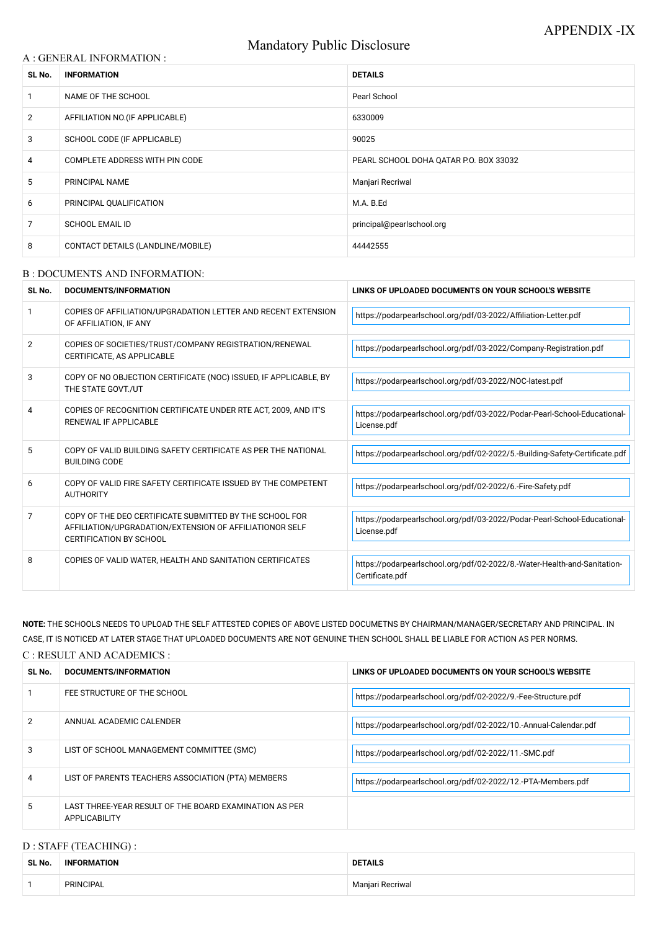# Mandatory Public Disclosure

### A : GENERAL INFORMATION :

| SL No.         | <b>INFORMATION</b>                | <b>DETAILS</b>                         |  |
|----------------|-----------------------------------|----------------------------------------|--|
|                | NAME OF THE SCHOOL                | Pearl School                           |  |
| $\overline{2}$ | AFFILIATION NO. (IF APPLICABLE)   | 6330009                                |  |
| 3              | SCHOOL CODE (IF APPLICABLE)       | 90025                                  |  |
| 4              | COMPLETE ADDRESS WITH PIN CODE    | PEARL SCHOOL DOHA QATAR P.O. BOX 33032 |  |
| 5              | PRINCIPAL NAME                    | Manjari Recriwal                       |  |
| 6              | PRINCIPAL QUALIFICATION           | M.A. B.Ed                              |  |
| 7              | <b>SCHOOL EMAIL ID</b>            | principal@pearlschool.org              |  |
| 8              | CONTACT DETAILS (LANDLINE/MOBILE) | 44442555                               |  |

#### B : DOCUMENTS AND INFORMATION:

| SL No.         | DOCUMENTS/INFORMATION                                                                                                                                | LINKS OF UPLOADED DOCUMENTS ON YOUR SCHOOL'S WEBSITE                                        |  |
|----------------|------------------------------------------------------------------------------------------------------------------------------------------------------|---------------------------------------------------------------------------------------------|--|
|                | COPIES OF AFFILIATION/UPGRADATION LETTER AND RECENT EXTENSION<br>OF AFFILIATION, IF ANY                                                              | https://podarpearlschool.org/pdf/03-2022/Affiliation-Letter.pdf                             |  |
| $\overline{2}$ | COPIES OF SOCIETIES/TRUST/COMPANY REGISTRATION/RENEWAL<br>CERTIFICATE, AS APPLICABLE                                                                 | https://podarpearlschool.org/pdf/03-2022/Company-Registration.pdf                           |  |
| 3              | COPY OF NO OBJECTION CERTIFICATE (NOC) ISSUED, IF APPLICABLE, BY<br>THE STATE GOVT./UT                                                               | https://podarpearlschool.org/pdf/03-2022/NOC-latest.pdf                                     |  |
| 4              | COPIES OF RECOGNITION CERTIFICATE UNDER RTE ACT, 2009, AND IT'S<br><b>RENEWAL IF APPLICABLE</b>                                                      | https://podarpearlschool.org/pdf/03-2022/Podar-Pearl-School-Educational-<br>License.pdf     |  |
| 5              | COPY OF VALID BUILDING SAFETY CERTIFICATE AS PER THE NATIONAL<br><b>BUILDING CODE</b>                                                                | https://podarpearlschool.org/pdf/02-2022/5.-Building-Safety-Certificate.pdf                 |  |
| 6              | COPY OF VALID FIRE SAFETY CERTIFICATE ISSUED BY THE COMPETENT<br><b>AUTHORITY</b>                                                                    | https://podarpearlschool.org/pdf/02-2022/6.-Fire-Safety.pdf                                 |  |
| 7              | COPY OF THE DEO CERTIFICATE SUBMITTED BY THE SCHOOL FOR<br>AFFILIATION/UPGRADATION/EXTENSION OF AFFILIATIONOR SELF<br><b>CERTIFICATION BY SCHOOL</b> | https://podarpearlschool.org/pdf/03-2022/Podar-Pearl-School-Educational-<br>License.pdf     |  |
| 8              | COPIES OF VALID WATER, HEALTH AND SANITATION CERTIFICATES                                                                                            | https://podarpearlschool.org/pdf/02-2022/8.-Water-Health-and-Sanitation-<br>Certificate.pdf |  |

**NOTE:** THE SCHOOLS NEEDS TO UPLOAD THE SELF ATTESTED COPIES OF ABOVE LISTED DOCUMETNS BY CHAIRMAN/MANAGER/SECRETARY AND PRINCIPAL. IN CASE, IT IS NOTICED AT LATER STAGE THAT UPLOADED DOCUMENTS ARE NOT GENUINE THEN SCHOOL SHALL BE LIABLE FOR ACTION AS PER NORMS. C : RESULT AND ACADEMICS :

| SL No. | DOCUMENTS/INFORMATION       | LINKS OF UPLOADED DOCUMENTS ON YOUR SCHOOL'S WEBSITE          |  |
|--------|-----------------------------|---------------------------------------------------------------|--|
|        | FEE STRUCTURE OF THE SCHOOL | Https://podarpearlschool.org/pdf/02-2022/9.-Fee-Structure.pdf |  |

| 2 | ANNUAL ACADEMIC CALENDER                                                       | https://podarpearlschool.org/pdf/02-2022/10.-Annual-Calendar.pdf |
|---|--------------------------------------------------------------------------------|------------------------------------------------------------------|
| 3 | LIST OF SCHOOL MANAGEMENT COMMITTEE (SMC)                                      | https://podarpearlschool.org/pdf/02-2022/11.-SMC.pdf             |
| 4 | LIST OF PARENTS TEACHERS ASSOCIATION (PTA) MEMBERS                             | https://podarpearlschool.org/pdf/02-2022/12.-PTA-Members.pdf     |
| 5 | LAST THREE-YEAR RESULT OF THE BOARD EXAMINATION AS PER<br><b>APPLICABILITY</b> |                                                                  |

## D : STAFF (TEACHING) :

| <b>SL No</b> | MATION<br>INI | <b>DETAILS</b>                           |  |
|--------------|---------------|------------------------------------------|--|
|              | PRINCIPAL     | <sup>:</sup> Recriwai<br>Maniari<br>,,,, |  |